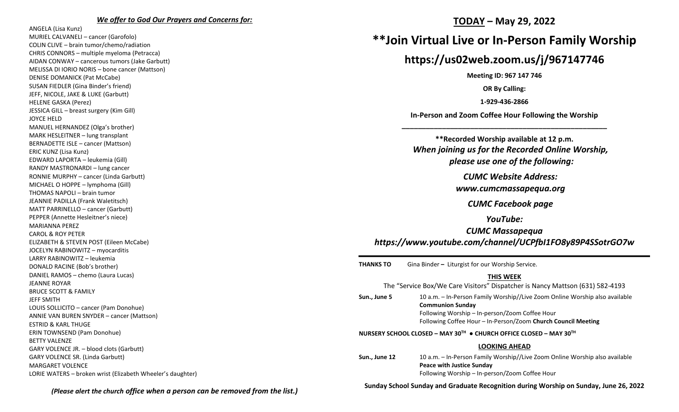#### *We offer to God Our Prayers and Concerns for:*

ANGELA (Lisa Kunz) MURIEL CALVANELI – cancer (Garofolo) COLIN CLIVE – brain tumor/chemo/radiation CHRIS CONNORS – multiple myeloma (Petracca) AIDAN CONWAY – cancerous tumors (Jake Garbutt) MELISSA DI IORIO NORIS – bone cancer (Mattson) DENISE DOMANICK (Pat McCabe) SUSAN FIEDLER (Gina Binder's friend) JEFF, NICOLE, JAKE & LUKE (Garbutt) HELENE GASKA (Perez) JESSICA GILL – breast surgery (Kim Gill) JOYCE HELD MANUEL HERNANDEZ (Olga's brother) MARK HESLEITNER – lung transplant BERNADETTE ISLE – cancer (Mattson) ERIC KUNZ (Lisa Kunz) EDWARD LAPORTA – leukemia (Gill) RANDY MASTRONARDI – lung cancer RONNIE MURPHY – cancer (Linda Garbutt) MICHAEL O HOPPE – lymphoma (Gill) THOMAS NAPOLI – brain tumor JEANNIE PADILLA (Frank Waletitsch) MATT PARRINELLO – cancer (Garbutt) PEPPER (Annette Hesleitner's niece) MARIANNA PEREZ CAROL & ROY PETER ELIZABETH & STEVEN POST (Eileen McCabe) JOCELYN RABINOWITZ – myocarditis LARRY RABINOWITZ – leukemia DONALD RACINE (Bob's brother) DANIEL RAMOS – chemo (Laura Lucas) JEANNE ROYAR BRUCE SCOTT & FAMILY JEFF SMITH LOUIS SOLLICITO – cancer (Pam Donohue) ANNIE VAN BUREN SNYDER – cancer (Mattson) ESTRID & KARL THUGE ERIN TOWNSEND (Pam Donohue) BETTY VALENZE GARY VOLENCE JR. – blood clots (Garbutt) GARY VOLENCE SR. (Linda Garbutt) MARGARET VOLENCE LORIE WATERS – broken wrist (Elizabeth Wheeler's daughter) **TODAY – May 29, 2022**

## **\*\*Join Virtual Live or In-Person Family Worship**

## **https://us02web.zoom.us/j/967147746**

**Meeting ID: 967 147 746**

**OR By Calling:**

**1-929-436-2866**

**In-Person and Zoom Coffee Hour Following the Worship \_\_\_\_\_\_\_\_\_\_\_\_\_\_\_\_\_\_\_\_\_\_\_\_\_\_\_\_\_\_\_\_\_\_\_\_\_\_\_\_\_\_\_\_\_\_\_\_\_\_\_**

**\*\*Recorded Worship available at 12 p.m.** *When joining us for the Recorded Online Worship, please use one of the following:*

*CUMC Website Address:*

*[www.cumcmassapequa.org](about:blank)*

*CUMC Facebook page*

*YouTube:*

*CUMC Massapequa [https://www.youtube.com/channel/UCPfbI1FO8y89P4SSotrGO7w](about:blank)*

**THANKS TO** Gina Binder **–** Liturgist for our Worship Service.

#### **THIS WEEK**

The "Service Box/We Care Visitors" Dispatcher is Nancy Mattson (631) 582-4193 **Sun., June 5** 10 a.m. – In-Person Family Worship//Live Zoom Online Worship also available **Communion Sunday** Following Worship – In-person/Zoom Coffee Hour Following Coffee Hour – In-Person/Zoom **Church Council Meeting NURSERY SCHOOL CLOSED – MAY 30TH ● CHURCH OFFICE CLOSED – MAY 30TH LOOKING AHEAD Sun., June 12** 10 a.m. – In-Person Family Worship//Live Zoom Online Worship also available **Peace with Justice Sunday** Following Worship – In-person/Zoom Coffee Hour

*(Please alert the church office when a person can be removed from the list.)*

**Sunday School Sunday and Graduate Recognition during Worship on Sunday, June 26, 2022**